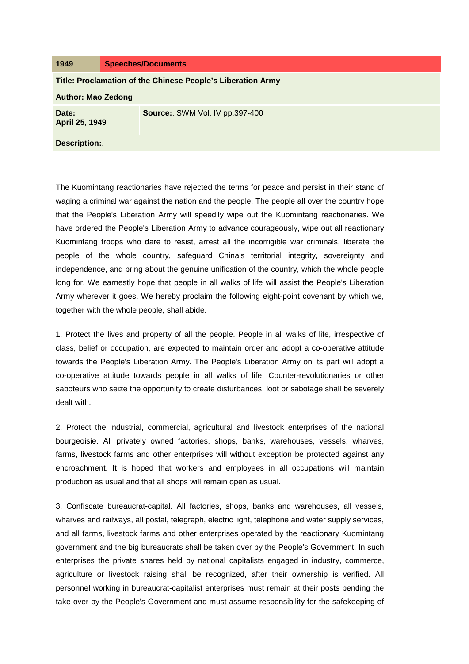| 1949                                                        | <b>Speeches/Documents</b>              |
|-------------------------------------------------------------|----------------------------------------|
| Title: Proclamation of the Chinese People's Liberation Army |                                        |
| <b>Author: Mao Zedong</b>                                   |                                        |
| Date:<br>April 25, 1949                                     | <b>Source:.</b> SWM Vol. IV pp.397-400 |
| <b>Description:.</b>                                        |                                        |

The Kuomintang reactionaries have rejected the terms for peace and persist in their stand of waging a criminal war against the nation and the people. The people all over the country hope that the People's Liberation Army will speedily wipe out the Kuomintang reactionaries. We have ordered the People's Liberation Army to advance courageously, wipe out all reactionary Kuomintang troops who dare to resist, arrest all the incorrigible war criminals, liberate the people of the whole country, safeguard China's territorial integrity, sovereignty and independence, and bring about the genuine unification of the country, which the whole people long for. We earnestly hope that people in all walks of life will assist the People's Liberation Army wherever it goes. We hereby proclaim the following eight-point covenant by which we, together with the whole people, shall abide.

1. Protect the lives and property of all the people. People in all walks of life, irrespective of class, belief or occupation, are expected to maintain order and adopt a co-operative attitude towards the People's Liberation Army. The People's Liberation Army on its part will adopt a co-operative attitude towards people in all walks of life. Counter-revolutionaries or other saboteurs who seize the opportunity to create disturbances, loot or sabotage shall be severely dealt with.

2. Protect the industrial, commercial, agricultural and livestock enterprises of the national bourgeoisie. All privately owned factories, shops, banks, warehouses, vessels, wharves, farms, livestock farms and other enterprises will without exception be protected against any encroachment. It is hoped that workers and employees in all occupations will maintain production as usual and that all shops will remain open as usual.

3. Confiscate bureaucrat-capital. All factories, shops, banks and warehouses, all vessels, wharves and railways, all postal, telegraph, electric light, telephone and water supply services, and all farms, livestock farms and other enterprises operated by the reactionary Kuomintang government and the big bureaucrats shall be taken over by the People's Government. In such enterprises the private shares held by national capitalists engaged in industry, commerce, agriculture or livestock raising shall be recognized, after their ownership is verified. All personnel working in bureaucrat-capitalist enterprises must remain at their posts pending the take-over by the People's Government and must assume responsibility for the safekeeping of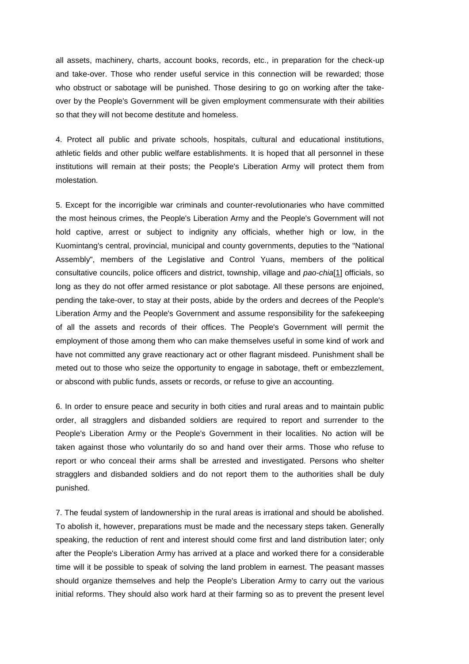all assets, machinery, charts, account books, records, etc., in preparation for the check-up and take-over. Those who render useful service in this connection will be rewarded; those who obstruct or sabotage will be punished. Those desiring to go on working after the takeover by the People's Government will be given employment commensurate with their abilities so that they will not become destitute and homeless.

4. Protect all public and private schools, hospitals, cultural and educational institutions, athletic fields and other public welfare establishments. It is hoped that all personnel in these institutions will remain at their posts; the People's Liberation Army will protect them from molestation.

5. Except for the incorrigible war criminals and counter-revolutionaries who have committed the most heinous crimes, the People's Liberation Army and the People's Government will not hold captive, arrest or subject to indignity any officials, whether high or low, in the Kuomintang's central, provincial, municipal and county governments, deputies to the "National Assembly", members of the Legislative and Control Yuans, members of the political consultative councils, police officers and district, township, village and *pao-chia*[\[1\]](http://www.marxists.org/reference/archive/mao/selected-works/volume-4/mswv4_62.htm#bm1#bm1) officials, so long as they do not offer armed resistance or plot sabotage. All these persons are enjoined, pending the take-over, to stay at their posts, abide by the orders and decrees of the People's Liberation Army and the People's Government and assume responsibility for the safekeeping of all the assets and records of their offices. The People's Government will permit the employment of those among them who can make themselves useful in some kind of work and have not committed any grave reactionary act or other flagrant misdeed. Punishment shall be meted out to those who seize the opportunity to engage in sabotage, theft or embezzlement, or abscond with public funds, assets or records, or refuse to give an accounting.

6. In order to ensure peace and security in both cities and rural areas and to maintain public order, all stragglers and disbanded soldiers are required to report and surrender to the People's Liberation Army or the People's Government in their localities. No action will be taken against those who voluntarily do so and hand over their arms. Those who refuse to report or who conceal their arms shall be arrested and investigated. Persons who shelter stragglers and disbanded soldiers and do not report them to the authorities shall be duly punished.

7. The feudal system of landownership in the rural areas is irrational and should be abolished. To abolish it, however, preparations must be made and the necessary steps taken. Generally speaking, the reduction of rent and interest should come first and land distribution later; only after the People's Liberation Army has arrived at a place and worked there for a considerable time will it be possible to speak of solving the land problem in earnest. The peasant masses should organize themselves and help the People's Liberation Army to carry out the various initial reforms. They should also work hard at their farming so as to prevent the present level